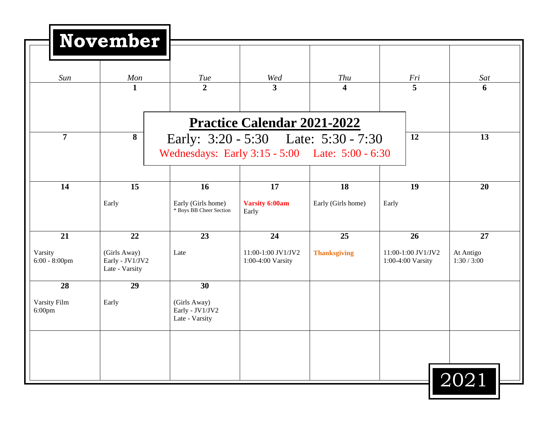| Sun                         | Mon                                               | <b>Tue</b>                                        | Wed                                     | Thu                 | Fri                                     | Sat                      |
|-----------------------------|---------------------------------------------------|---------------------------------------------------|-----------------------------------------|---------------------|-----------------------------------------|--------------------------|
|                             | $\mathbf{1}$                                      | $\overline{2}$                                    | $\overline{\mathbf{3}}$                 | 4                   | 5                                       | 6                        |
|                             |                                                   |                                                   | <b>Practice Calendar 2021-2022</b>      |                     |                                         |                          |
| $\overline{7}$              | 8                                                 | Early: 3:20 - 5:30 Late: 5:30 - 7:30              |                                         |                     | 12                                      | 13                       |
|                             |                                                   | Wednesdays: Early 3:15 - 5:00 Late: 5:00 - 6:30   |                                         |                     |                                         |                          |
| 14                          | 15                                                | <b>16</b>                                         | 17                                      | 18                  | 19                                      | 20                       |
|                             | Early                                             | Early (Girls home)<br>* Boys BB Cheer Section     | <b>Varsity 6:00am</b><br>Early          | Early (Girls home)  | Early                                   |                          |
| 21                          | 22                                                | 23                                                | 24                                      | 25                  | 26                                      | 27                       |
| Varsity<br>$6:00 - 8:00$ pm | (Girls Away)<br>Early - JV1/JV2<br>Late - Varsity | Late                                              | 11:00-1:00 JV1/JV2<br>1:00-4:00 Varsity | <b>Thanksgiving</b> | 11:00-1:00 JV1/JV2<br>1:00-4:00 Varsity | At Antigo<br>1:30 / 3:00 |
| 28                          | 29                                                | 30                                                |                                         |                     |                                         |                          |
| Varsity Film<br>$6:00$ pm   | Early                                             | (Girls Away)<br>Early - JV1/JV2<br>Late - Varsity |                                         |                     |                                         |                          |
|                             |                                                   |                                                   |                                         |                     |                                         |                          |
|                             |                                                   |                                                   |                                         |                     |                                         |                          |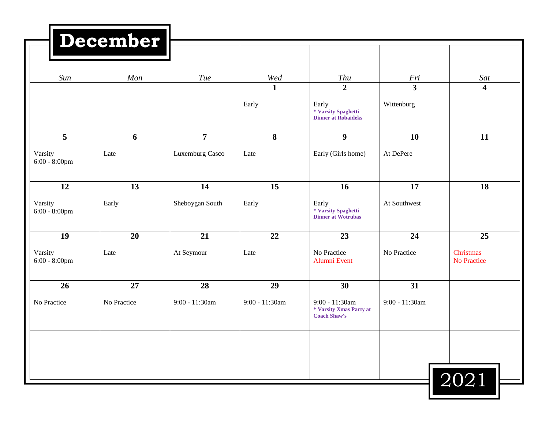|                                   | December          |                                   |                       |                                                                              |                                       |                                |
|-----------------------------------|-------------------|-----------------------------------|-----------------------|------------------------------------------------------------------------------|---------------------------------------|--------------------------------|
| Sun                               | Mon               | <b>Tue</b>                        | Wed                   | <b>Thu</b>                                                                   | Fri                                   | Sat                            |
|                                   |                   |                                   | $\mathbf{1}$<br>Early | $\overline{2}$<br>Early<br>* Varsity Spaghetti<br><b>Dinner at Robaideks</b> | $\overline{\mathbf{3}}$<br>Wittenburg | $\overline{\mathbf{4}}$        |
| 5<br>Varsity<br>$6:00 - 8:00$ pm  | 6<br>Late         | $\overline{7}$<br>Luxemburg Casco | 8<br>Late             | $\boldsymbol{9}$<br>Early (Girls home)                                       | 10<br>At DePere                       | 11                             |
| 12<br>Varsity<br>$6:00 - 8:00$ pm | 13<br>Early       | 14<br>Sheboygan South             | 15<br>Early           | 16<br>Early<br>* Varsity Spaghetti<br><b>Dinner</b> at Wotrubas              | 17<br>At Southwest                    | 18                             |
| 19<br>Varsity<br>$6:00 - 8:00$ pm | 20<br>Late        | 21<br>At Seymour                  | 22<br>Late            | 23<br>No Practice<br>Alumni Event                                            | 24<br>No Practice                     | 25<br>Christmas<br>No Practice |
| 26<br>No Practice                 | 27<br>No Practice | 28<br>9:00 - 11:30am              | 29<br>9:00 - 11:30am  | 30<br>9:00 - 11:30am<br>* Varsity Xmas Party at<br><b>Coach Shaw's</b>       | 31<br>9:00 - 11:30am                  |                                |
|                                   |                   |                                   |                       |                                                                              |                                       | $\boxed{2021}$                 |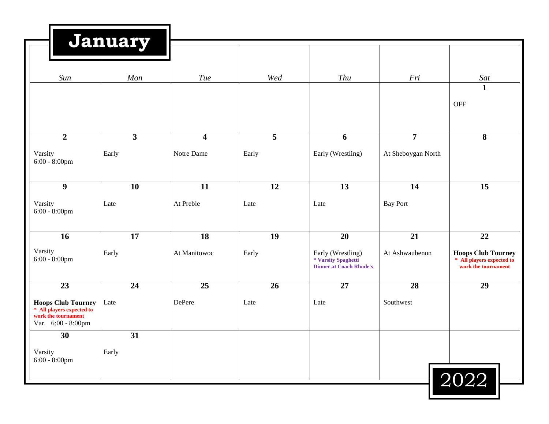|                                                                                                     | January                 |                         |       |                                                                            |                    |                                                                               |
|-----------------------------------------------------------------------------------------------------|-------------------------|-------------------------|-------|----------------------------------------------------------------------------|--------------------|-------------------------------------------------------------------------------|
| Sun                                                                                                 | Mon                     | Tue                     | Wed   | Thu                                                                        | Fri                | Sat<br>$\mathbf{1}$                                                           |
|                                                                                                     |                         |                         |       |                                                                            |                    | <b>OFF</b>                                                                    |
| $\overline{2}$                                                                                      | $\overline{\mathbf{3}}$ | $\overline{\mathbf{4}}$ | 5     | 6                                                                          | $\overline{7}$     | 8                                                                             |
| Varsity<br>$6:00 - 8:00$ pm                                                                         | Early                   | Notre Dame              | Early | Early (Wrestling)                                                          | At Sheboygan North |                                                                               |
| $\boldsymbol{9}$                                                                                    | 10                      | 11                      | 12    | 13                                                                         | 14                 | 15                                                                            |
| Varsity<br>$6:00 - 8:00$ pm                                                                         | Late                    | At Preble               | Late  | Late                                                                       | <b>Bay Port</b>    |                                                                               |
| 16                                                                                                  | 17                      | 18                      | 19    | 20                                                                         | 21                 | 22                                                                            |
| Varsity<br>$6:00 - 8:00$ pm                                                                         | Early                   | At Manitowoc            | Early | Early (Wrestling)<br>* Varsity Spaghetti<br><b>Dinner at Coach Rhode's</b> | At Ashwaubenon     | <b>Hoops Club Tourney</b><br>* All players expected to<br>work the tournament |
| 23                                                                                                  | 24                      | 25                      | 26    | 27                                                                         | 28                 | 29                                                                            |
| <b>Hoops Club Tourney</b><br>* All players expected to<br>work the tournament<br>Var. 6:00 - 8:00pm | Late                    | DePere                  | Late  | Late                                                                       | Southwest          |                                                                               |
| 30                                                                                                  | 31                      |                         |       |                                                                            |                    |                                                                               |
| Varsity<br>$6:00 - 8:00$ pm                                                                         | Early                   |                         |       |                                                                            |                    | 2022                                                                          |